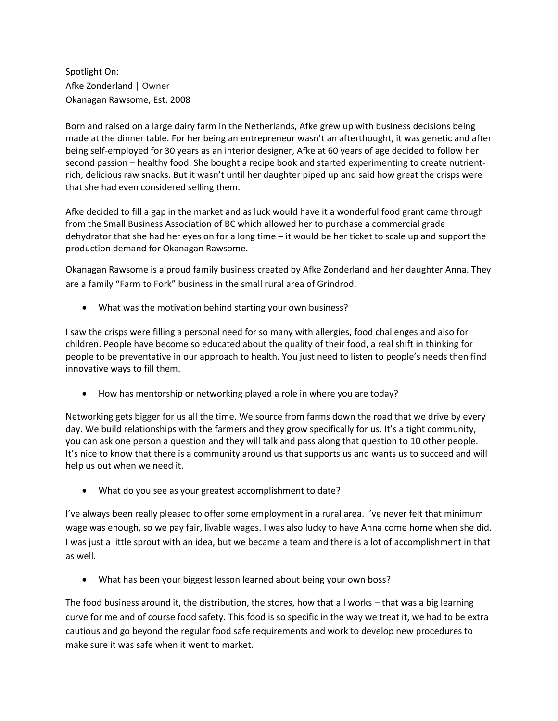Spotlight On: Afke Zonderland | Owner Okanagan Rawsome, Est. 2008

Born and raised on a large dairy farm in the Netherlands, Afke grew up with business decisions being made at the dinner table. For her being an entrepreneur wasn't an afterthought, it was genetic and after being self-employed for 30 years as an interior designer, Afke at 60 years of age decided to follow her second passion – healthy food. She bought a recipe book and started experimenting to create nutrientrich, delicious raw snacks. But it wasn't until her daughter piped up and said how great the crisps were that she had even considered selling them.

Afke decided to fill a gap in the market and as luck would have it a wonderful food grant came through from the Small Business Association of BC which allowed her to purchase a commercial grade dehydrator that she had her eyes on for a long time – it would be her ticket to scale up and support the production demand for Okanagan Rawsome.

Okanagan Rawsome is a proud family business created by Afke Zonderland and her daughter Anna. They are a family "Farm to Fork" business in the small rural area of Grindrod.

What was the motivation behind starting your own business?

I saw the crisps were filling a personal need for so many with allergies, food challenges and also for children. People have become so educated about the quality of their food, a real shift in thinking for people to be preventative in our approach to health. You just need to listen to people's needs then find innovative ways to fill them.

How has mentorship or networking played a role in where you are today?

Networking gets bigger for us all the time. We source from farms down the road that we drive by every day. We build relationships with the farmers and they grow specifically for us. It's a tight community, you can ask one person a question and they will talk and pass along that question to 10 other people. It's nice to know that there is a community around us that supports us and wants us to succeed and will help us out when we need it.

What do you see as your greatest accomplishment to date?

I've always been really pleased to offer some employment in a rural area. I've never felt that minimum wage was enough, so we pay fair, livable wages. I was also lucky to have Anna come home when she did. I was just a little sprout with an idea, but we became a team and there is a lot of accomplishment in that as well.

What has been your biggest lesson learned about being your own boss?

The food business around it, the distribution, the stores, how that all works – that was a big learning curve for me and of course food safety. This food is so specific in the way we treat it, we had to be extra cautious and go beyond the regular food safe requirements and work to develop new procedures to make sure it was safe when it went to market.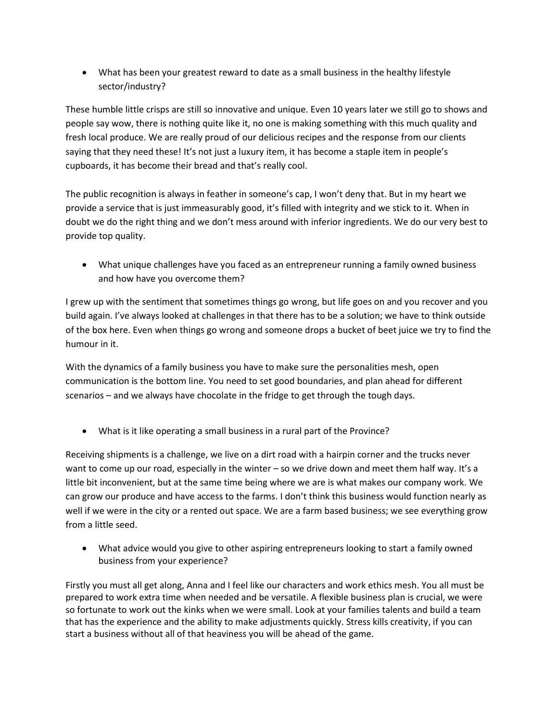What has been your greatest reward to date as a small business in the healthy lifestyle sector/industry?

These humble little crisps are still so innovative and unique. Even 10 years later we still go to shows and people say wow, there is nothing quite like it, no one is making something with this much quality and fresh local produce. We are really proud of our delicious recipes and the response from our clients saying that they need these! It's not just a luxury item, it has become a staple item in people's cupboards, it has become their bread and that's really cool.

The public recognition is always in feather in someone's cap, I won't deny that. But in my heart we provide a service that is just immeasurably good, it's filled with integrity and we stick to it. When in doubt we do the right thing and we don't mess around with inferior ingredients. We do our very best to provide top quality.

 What unique challenges have you faced as an entrepreneur running a family owned business and how have you overcome them?

I grew up with the sentiment that sometimes things go wrong, but life goes on and you recover and you build again. I've always looked at challenges in that there has to be a solution; we have to think outside of the box here. Even when things go wrong and someone drops a bucket of beet juice we try to find the humour in it.

With the dynamics of a family business you have to make sure the personalities mesh, open communication is the bottom line. You need to set good boundaries, and plan ahead for different scenarios – and we always have chocolate in the fridge to get through the tough days.

What is it like operating a small business in a rural part of the Province?

Receiving shipments is a challenge, we live on a dirt road with a hairpin corner and the trucks never want to come up our road, especially in the winter – so we drive down and meet them half way. It's a little bit inconvenient, but at the same time being where we are is what makes our company work. We can grow our produce and have access to the farms. I don't think this business would function nearly as well if we were in the city or a rented out space. We are a farm based business; we see everything grow from a little seed.

 What advice would you give to other aspiring entrepreneurs looking to start a family owned business from your experience?

Firstly you must all get along, Anna and I feel like our characters and work ethics mesh. You all must be prepared to work extra time when needed and be versatile. A flexible business plan is crucial, we were so fortunate to work out the kinks when we were small. Look at your families talents and build a team that has the experience and the ability to make adjustments quickly. Stress kills creativity, if you can start a business without all of that heaviness you will be ahead of the game.